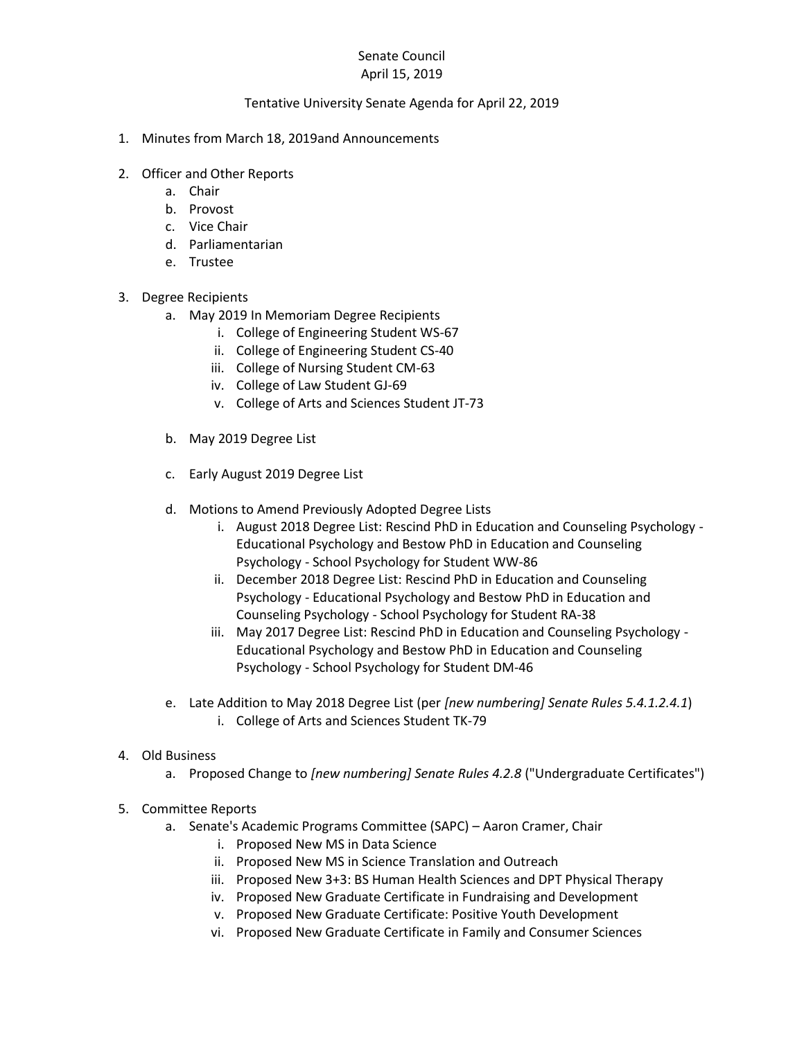## Senate Council April 15, 2019

## Tentative University Senate Agenda for April 22, 2019

- 1. Minutes from March 18, 2019and Announcements
- 2. Officer and Other Reports
	- a. Chair
	- b. Provost
	- c. Vice Chair
	- d. Parliamentarian
	- e. Trustee
- 3. Degree Recipients
	- a. May 2019 In Memoriam Degree Recipients
		- i. College of Engineering Student WS-67
		- ii. College of Engineering Student CS-40
		- iii. College of Nursing Student CM-63
		- iv. College of Law Student GJ-69
		- v. College of Arts and Sciences Student JT-73
	- b. May 2019 Degree List
	- c. Early August 2019 Degree List
	- d. Motions to Amend Previously Adopted Degree Lists
		- i. August 2018 Degree List: Rescind PhD in Education and Counseling Psychology Educational Psychology and Bestow PhD in Education and Counseling Psychology - School Psychology for Student WW-86
		- ii. December 2018 Degree List: Rescind PhD in Education and Counseling Psychology - Educational Psychology and Bestow PhD in Education and Counseling Psychology - School Psychology for Student RA-38
		- iii. May 2017 Degree List: Rescind PhD in Education and Counseling Psychology Educational Psychology and Bestow PhD in Education and Counseling Psychology - School Psychology for Student DM-46
	- e. Late Addition to May 2018 Degree List (per *[new numbering] Senate Rules 5.4.1.2.4.1*) i. College of Arts and Sciences Student TK-79
- 4. Old Business
	- a. Proposed Change to *[new numbering] Senate Rules 4.2.8* ("Undergraduate Certificates")
- 5. Committee Reports
	- a. Senate's Academic Programs Committee (SAPC) Aaron Cramer, Chair
		- i. Proposed New MS in Data Science
		- ii. Proposed New MS in Science Translation and Outreach
		- iii. Proposed New 3+3: BS Human Health Sciences and DPT Physical Therapy
		- iv. Proposed New Graduate Certificate in Fundraising and Development
		- v. Proposed New Graduate Certificate: Positive Youth Development
		- vi. Proposed New Graduate Certificate in Family and Consumer Sciences